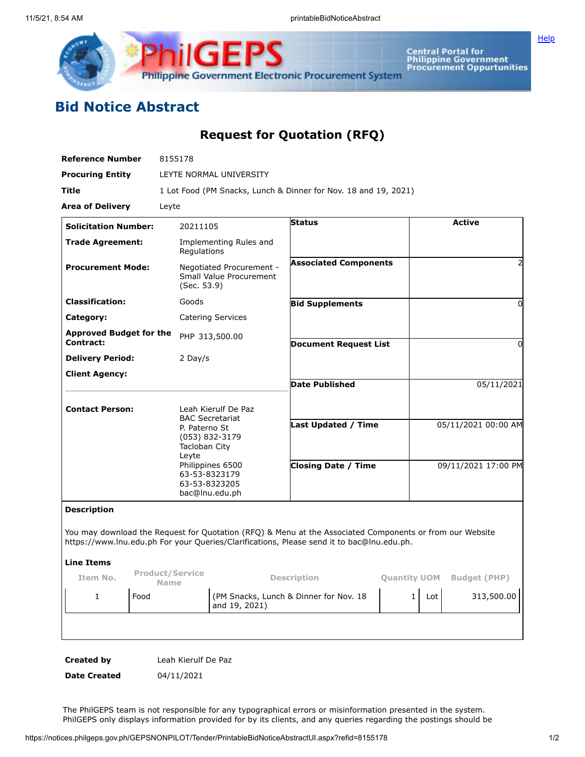

Central Portal for<br>Philippine Government<br>Procurement Oppurtunities

**[Help](javascript:void(window.open()** 

## **Bid Notice Abstract**

**Request for Quotation (RFQ)**

| LEYTE NORMAL UNIVERSITY<br>20211105<br>Implementing Rules and<br>Regulations<br>Negotiated Procurement -<br>Small Value Procurement<br>(Sec. 53.9)<br>Goods<br>Catering Services<br>PHP 313,500.00<br>2 Day/s | 1 Lot Food (PM Snacks, Lunch & Dinner for Nov. 18 and 19, 2021)<br>Status<br><b>Associated Components</b><br><b>Bid Supplements</b><br><b>Document Request List</b><br><b>Date Published</b> |                                                              |                                                                                           | <b>Active</b><br>2<br>0<br>0                                                                                                    |  |
|---------------------------------------------------------------------------------------------------------------------------------------------------------------------------------------------------------------|----------------------------------------------------------------------------------------------------------------------------------------------------------------------------------------------|--------------------------------------------------------------|-------------------------------------------------------------------------------------------|---------------------------------------------------------------------------------------------------------------------------------|--|
|                                                                                                                                                                                                               |                                                                                                                                                                                              |                                                              |                                                                                           |                                                                                                                                 |  |
|                                                                                                                                                                                                               |                                                                                                                                                                                              |                                                              |                                                                                           |                                                                                                                                 |  |
|                                                                                                                                                                                                               |                                                                                                                                                                                              |                                                              |                                                                                           |                                                                                                                                 |  |
|                                                                                                                                                                                                               |                                                                                                                                                                                              |                                                              |                                                                                           |                                                                                                                                 |  |
|                                                                                                                                                                                                               |                                                                                                                                                                                              |                                                              |                                                                                           |                                                                                                                                 |  |
|                                                                                                                                                                                                               |                                                                                                                                                                                              |                                                              |                                                                                           |                                                                                                                                 |  |
|                                                                                                                                                                                                               |                                                                                                                                                                                              |                                                              |                                                                                           |                                                                                                                                 |  |
|                                                                                                                                                                                                               |                                                                                                                                                                                              |                                                              |                                                                                           |                                                                                                                                 |  |
|                                                                                                                                                                                                               |                                                                                                                                                                                              |                                                              |                                                                                           |                                                                                                                                 |  |
|                                                                                                                                                                                                               |                                                                                                                                                                                              |                                                              |                                                                                           |                                                                                                                                 |  |
|                                                                                                                                                                                                               |                                                                                                                                                                                              |                                                              |                                                                                           | 05/11/2021                                                                                                                      |  |
| Leah Kierulf De Paz<br><b>BAC Secretariat</b><br>P. Paterno St<br>(053) 832-3179<br>Tacloban City<br>Leyte<br>Philippines 6500<br>63-53-8323179                                                               | <b>Last Updated / Time</b><br><b>Closing Date / Time</b>                                                                                                                                     |                                                              | 05/11/2021 00:00 AM<br>09/11/2021 17:00 PM                                                |                                                                                                                                 |  |
| bac@lnu.edu.ph                                                                                                                                                                                                |                                                                                                                                                                                              |                                                              |                                                                                           |                                                                                                                                 |  |
|                                                                                                                                                                                                               |                                                                                                                                                                                              |                                                              |                                                                                           |                                                                                                                                 |  |
| <b>Product/Service</b>                                                                                                                                                                                        |                                                                                                                                                                                              |                                                              |                                                                                           | <b>Budget (PHP)</b>                                                                                                             |  |
| and 19, 2021)                                                                                                                                                                                                 |                                                                                                                                                                                              | $\mathbf{1}$                                                 | Lot                                                                                       | 313,500.00                                                                                                                      |  |
|                                                                                                                                                                                                               | 63-53-8323205                                                                                                                                                                                | <b>Description</b><br>(PM Snacks, Lunch & Dinner for Nov. 18 | https://www.lnu.edu.ph For your Queries/Clarifications, Please send it to bac@lnu.edu.ph. | You may download the Request for Quotation (RFQ) & Menu at the Associated Components or from our Website<br><b>Quantity UOM</b> |  |

**Date Created** 04/11/2021

The PhilGEPS team is not responsible for any typographical errors or misinformation presented in the system. PhilGEPS only displays information provided for by its clients, and any queries regarding the postings should be